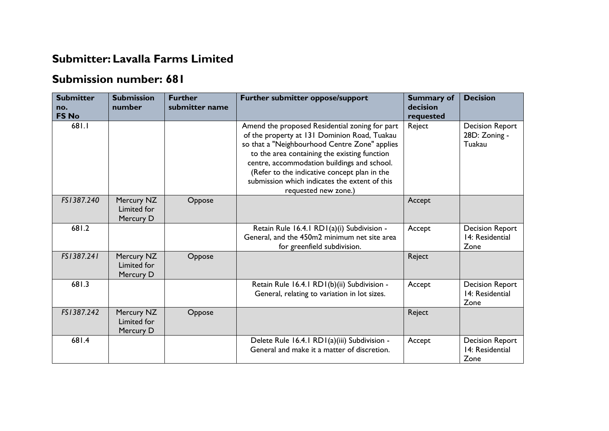## **Submitter: Lavalla Farms Limited**

## **Submission number: 681**

| <b>Submitter</b><br>no.<br><b>FS No</b> | <b>Submission</b><br>number            | <b>Further</b><br>submitter name | Further submitter oppose/support                                                                                                                                                                                                                                                                                                                                        | <b>Summary of</b><br>decision<br>requested | <b>Decision</b>                                   |
|-----------------------------------------|----------------------------------------|----------------------------------|-------------------------------------------------------------------------------------------------------------------------------------------------------------------------------------------------------------------------------------------------------------------------------------------------------------------------------------------------------------------------|--------------------------------------------|---------------------------------------------------|
| 681.1                                   |                                        |                                  | Amend the proposed Residential zoning for part<br>of the property at 131 Dominion Road, Tuakau<br>so that a "Neighbourhood Centre Zone" applies<br>to the area containing the existing function<br>centre, accommodation buildings and school.<br>(Refer to the indicative concept plan in the<br>submission which indicates the extent of this<br>requested new zone.) | Reject                                     | <b>Decision Report</b><br>28D: Zoning -<br>Tuakau |
| FS1387.240                              | Mercury NZ<br>Limited for<br>Mercury D | Oppose                           |                                                                                                                                                                                                                                                                                                                                                                         | Accept                                     |                                                   |
| 681.2                                   |                                        |                                  | Retain Rule 16.4.1 RD1(a)(i) Subdivision -<br>General, and the 450m2 minimum net site area<br>for greenfield subdivision.                                                                                                                                                                                                                                               | Accept                                     | <b>Decision Report</b><br>14: Residential<br>Zone |
| FS1387.241                              | Mercury NZ<br>Limited for<br>Mercury D | Oppose                           |                                                                                                                                                                                                                                                                                                                                                                         | Reject                                     |                                                   |
| 681.3                                   |                                        |                                  | Retain Rule 16.4.1 RD1(b)(ii) Subdivision -<br>General, relating to variation in lot sizes.                                                                                                                                                                                                                                                                             | Accept                                     | <b>Decision Report</b><br>14: Residential<br>Zone |
| FS1387.242                              | Mercury NZ<br>Limited for<br>Mercury D | Oppose                           |                                                                                                                                                                                                                                                                                                                                                                         | Reject                                     |                                                   |
| 681.4                                   |                                        |                                  | Delete Rule 16.4.1 RD1(a)(iii) Subdivision -<br>General and make it a matter of discretion.                                                                                                                                                                                                                                                                             | Accept                                     | <b>Decision Report</b><br>14: Residential<br>Zone |